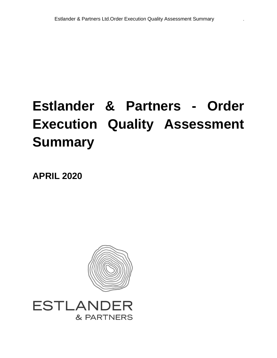# **Estlander & Partners - Order Execution Quality Assessment Summary**

**APRIL 2020**



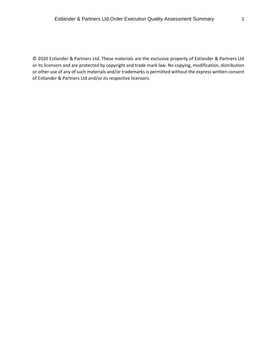© 2020 Estlander & Partners Ltd. These materials are the exclusive property of Estlander & Partners Ltd or its licensors and are protected by copyright and trade mark law. No copying, modification, distribution or other use of any of such materials and/or trademarks is permitted without the express written consent of Estlander & Partners Ltd and/or its respective licensors.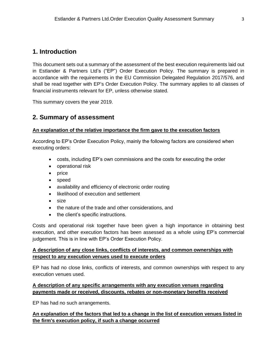## **1. Introduction**

This document sets out a summary of the assessment of the best execution requirements laid out in Estlander & Partners Ltd's ("EP") Order Execution Policy. The summary is prepared in accordance with the requirements in the EU Commission Delegated Regulation 2017/576, and shall be read together with EP's Order Execution Policy. The summary applies to all classes of financial instruments relevant for EP, unless otherwise stated.

This summary covers the year 2019.

## **2. Summary of assessment**

#### **An explanation of the relative importance the firm gave to the execution factors**

According to EP's Order Execution Policy, mainly the following factors are considered when executing orders:

- costs, including EP's own commissions and the costs for executing the order
- operational risk
- price
- speed
- availability and efficiency of electronic order routing
- likelihood of execution and settlement
- size
- the nature of the trade and other considerations, and
- the client's specific instructions.

Costs and operational risk together have been given a high importance in obtaining best execution, and other execution factors has been assessed as a whole using EP's commercial judgement. This is in line with EP's Order Execution Policy.

#### **A description of any close links, conflicts of interests, and common ownerships with respect to any execution venues used to execute orders**

EP has had no close links, conflicts of interests, and common ownerships with respect to any execution venues used.

#### **A description of any specific arrangements with any execution venues regarding payments made or received, discounts, rebates or non-monetary benefits received**

EP has had no such arrangements.

#### **An explanation of the factors that led to a change in the list of execution venues listed in the firm's execution policy, if such a change occurred**